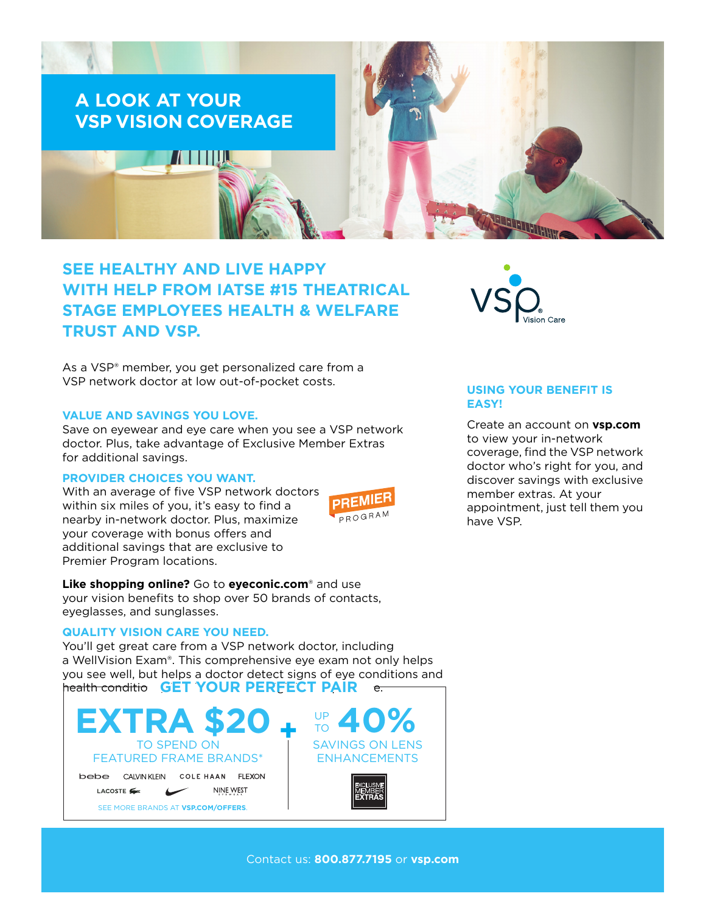

# **SEE HEALTHY AND LIVE HAPPY WITH HELP FROM IATSE #15 THEATRICAL STAGE EMPLOYEES HEALTH & WELFARE TRUST AND VSP.**

As a VSP® member, you get personalized care from a VSP network doctor at low out-of-pocket costs.

#### **VALUE AND SAVINGS YOU LOVE.**

Save on eyewear and eye care when you see a VSP network doctor. Plus, take advantage of Exclusive Member Extras for additional savings.

#### **PROVIDER CHOICES YOU WANT.**

With an average of five VSP network doctors within six miles of you, it's easy to find a nearby in-network doctor. Plus, maximize your coverage with bonus offers and additional savings that are exclusive to Premier Program locations.



**Like shopping online?** Go to **[eyeconic.com](https://www.eyeconic.com)**® and use your vision benefits to shop over 50 brands of contacts, eyeglasses, and sunglasses.

## **QUALITY VISION CARE YOU NEED.**

You'll get great care from a VSP network doctor, including a WellVision Exam®. This comprehensive eye exam not only helps you see well, but helps a doctor detect signs of eye conditions and health conditions, **GET YOUR PERFECT PAIR** and high





## **USING YOUR BENEFIT IS EASY!**

Create an account on **[vsp.com](http://www.vsp.com)** to view your in-network coverage, find the VSP network doctor who's right for you, and discover savings with exclusive member extras. At your appointment, just tell them you have VSP.